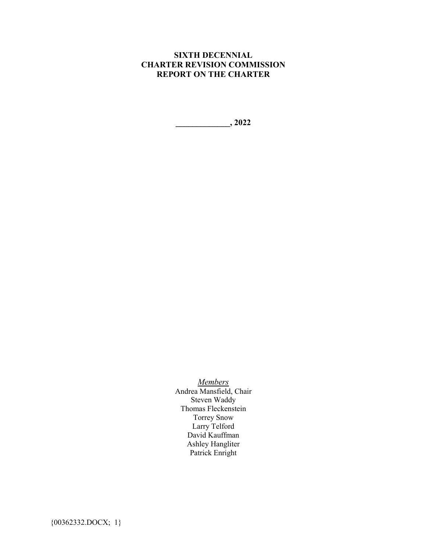## **SIXTH DECENNIAL CHARTER REVISION COMMISSION REPORT ON THE CHARTER**

**\_\_\_\_\_\_\_\_\_\_\_\_\_, 2022**

*Members* Andrea Mansfield, Chair Steven Waddy Thomas Fleckenstein Torrey Snow Larry Telford David Kauffman

Ashley Hangliter Patrick Enright

{00362332.DOCX; 1}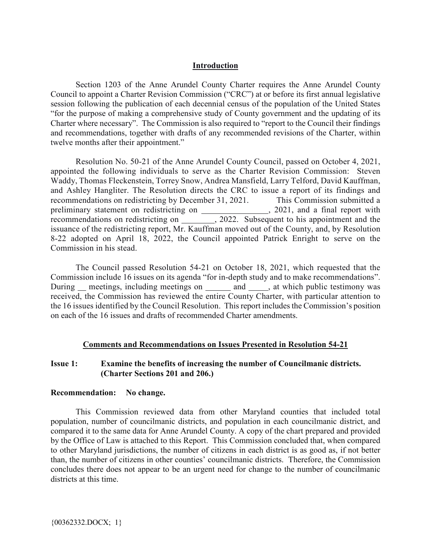### **Introduction**

Section 1203 of the Anne Arundel County Charter requires the Anne Arundel County Council to appoint a Charter Revision Commission ("CRC") at or before its first annual legislative session following the publication of each decennial census of the population of the United States "for the purpose of making a comprehensive study of County government and the updating of its Charter where necessary". The Commission is also required to "report to the Council their findings and recommendations, together with drafts of any recommended revisions of the Charter, within twelve months after their appointment."

Resolution No. 50-21 of the Anne Arundel County Council, passed on October 4, 2021, appointed the following individuals to serve as the Charter Revision Commission: Steven Waddy, Thomas Fleckenstein, Torrey Snow, Andrea Mansfield, Larry Telford, David Kauffman, and Ashley Hangliter. The Resolution directs the CRC to issue a report of its findings and recommendations on redistricting by December 31, 2021. This Commission submitted a preliminary statement on redistricting on , 2021, and a final report with recommendations on redistricting on \_\_\_\_\_\_\_\_, 2022. Subsequent to his appointment and the issuance of the redistricting report, Mr. Kauffman moved out of the County, and, by Resolution 8-22 adopted on April 18, 2022, the Council appointed Patrick Enright to serve on the Commission in his stead.

The Council passed Resolution 54-21 on October 18, 2021, which requested that the Commission include 16 issues on its agenda "for in-depth study and to make recommendations". During meetings, including meetings on and , at which public testimony was received, the Commission has reviewed the entire County Charter, with particular attention to the 16 issues identified by the Council Resolution. This report includes the Commission's position on each of the 16 issues and drafts of recommended Charter amendments.

## **Comments and Recommendations on Issues Presented in Resolution 54-21**

## **Issue 1: Examine the benefits of increasing the number of Councilmanic districts. (Charter Sections 201 and 206.)**

### **Recommendation: No change.**

This Commission reviewed data from other Maryland counties that included total population, number of councilmanic districts, and population in each councilmanic district, and compared it to the same data for Anne Arundel County. A copy of the chart prepared and provided by the Office of Law is attached to this Report. This Commission concluded that, when compared to other Maryland jurisdictions, the number of citizens in each district is as good as, if not better than, the number of citizens in other counties' councilmanic districts. Therefore, the Commission concludes there does not appear to be an urgent need for change to the number of councilmanic districts at this time.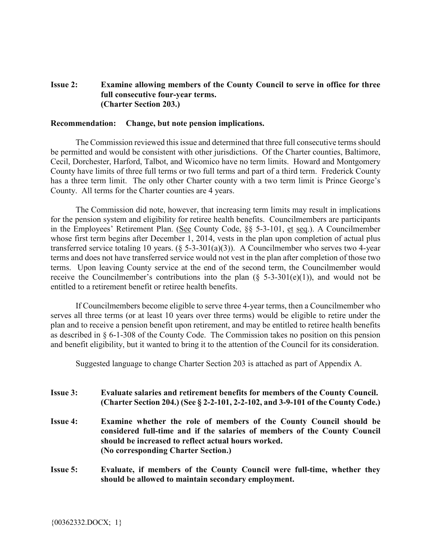## **Issue 2: Examine allowing members of the County Council to serve in office for three full consecutive four-year terms. (Charter Section 203.)**

### **Recommendation: Change, but note pension implications.**

The Commission reviewed this issue and determined that three full consecutive terms should be permitted and would be consistent with other jurisdictions. Of the Charter counties, Baltimore, Cecil, Dorchester, Harford, Talbot, and Wicomico have no term limits. Howard and Montgomery County have limits of three full terms or two full terms and part of a third term. Frederick County has a three term limit. The only other Charter county with a two term limit is Prince George's County. All terms for the Charter counties are 4 years.

The Commission did note, however, that increasing term limits may result in implications for the pension system and eligibility for retiree health benefits. Councilmembers are participants in the Employees' Retirement Plan. (See County Code, §§ 5-3-101, et seq.). A Councilmember whose first term begins after December 1, 2014, vests in the plan upon completion of actual plus transferred service totaling 10 years. (§ 5-3-301(a)(3)). A Councilmember who serves two 4-year terms and does not have transferred service would not vest in the plan after completion of those two terms. Upon leaving County service at the end of the second term, the Councilmember would receive the Councilmember's contributions into the plan  $(\xi$  5-3-301(e)(1)), and would not be entitled to a retirement benefit or retiree health benefits.

If Councilmembers become eligible to serve three 4-year terms, then a Councilmember who serves all three terms (or at least 10 years over three terms) would be eligible to retire under the plan and to receive a pension benefit upon retirement, and may be entitled to retiree health benefits as described in § 6-1-308 of the County Code. The Commission takes no position on this pension and benefit eligibility, but it wanted to bring it to the attention of the Council for its consideration.

Suggested language to change Charter Section 203 is attached as part of Appendix A.

- **Issue 3: Evaluate salaries and retirement benefits for members of the County Council. (Charter Section 204.) (See § 2-2-101, 2-2-102, and 3-9-101 of the County Code.) Issue 4: Examine whether the role of members of the County Council should be considered full-time and if the salaries of members of the County Council should be increased to reflect actual hours worked. (No corresponding Charter Section.)**
- **Issue 5: Evaluate, if members of the County Council were full-time, whether they should be allowed to maintain secondary employment.**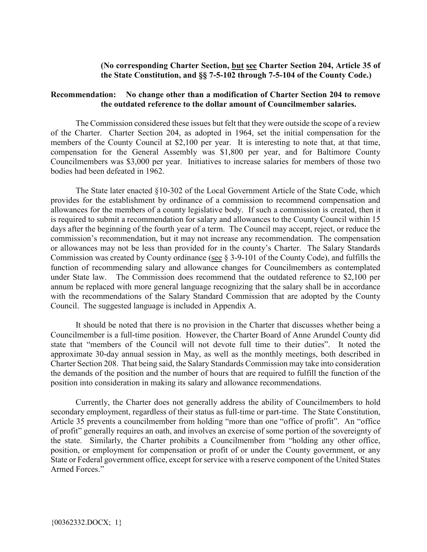## **(No corresponding Charter Section, but see Charter Section 204, Article 35 of the State Constitution, and §§ 7-5-102 through 7-5-104 of the County Code.)**

## **Recommendation: No change other than a modification of Charter Section 204 to remove the outdated reference to the dollar amount of Councilmember salaries.**

The Commission considered these issues but felt that they were outside the scope of a review of the Charter. Charter Section 204, as adopted in 1964, set the initial compensation for the members of the County Council at \$2,100 per year. It is interesting to note that, at that time, compensation for the General Assembly was \$1,800 per year, and for Baltimore County Councilmembers was \$3,000 per year. Initiatives to increase salaries for members of those two bodies had been defeated in 1962.

The State later enacted §10-302 of the Local Government Article of the State Code, which provides for the establishment by ordinance of a commission to recommend compensation and allowances for the members of a county legislative body. If such a commission is created, then it is required to submit a recommendation for salary and allowances to the County Council within 15 days after the beginning of the fourth year of a term. The Council may accept, reject, or reduce the commission's recommendation, but it may not increase any recommendation. The compensation or allowances may not be less than provided for in the county's Charter. The Salary Standards Commission was created by County ordinance (see § 3-9-101 of the County Code), and fulfills the function of recommending salary and allowance changes for Councilmembers as contemplated under State law. The Commission does recommend that the outdated reference to \$2,100 per annum be replaced with more general language recognizing that the salary shall be in accordance with the recommendations of the Salary Standard Commission that are adopted by the County Council. The suggested language is included in Appendix A.

It should be noted that there is no provision in the Charter that discusses whether being a Councilmember is a full-time position. However, the Charter Board of Anne Arundel County did state that "members of the Council will not devote full time to their duties". It noted the approximate 30-day annual session in May, as well as the monthly meetings, both described in Charter Section 208. That being said, the Salary Standards Commission may take into consideration the demands of the position and the number of hours that are required to fulfill the function of the position into consideration in making its salary and allowance recommendations.

Currently, the Charter does not generally address the ability of Councilmembers to hold secondary employment, regardless of their status as full-time or part-time. The State Constitution, Article 35 prevents a councilmember from holding "more than one "office of profit". An "office of profit" generally requires an oath, and involves an exercise of some portion of the sovereignty of the state. Similarly, the Charter prohibits a Councilmember from "holding any other office, position, or employment for compensation or profit of or under the County government, or any State or Federal government office, except for service with a reserve component of the United States Armed Forces."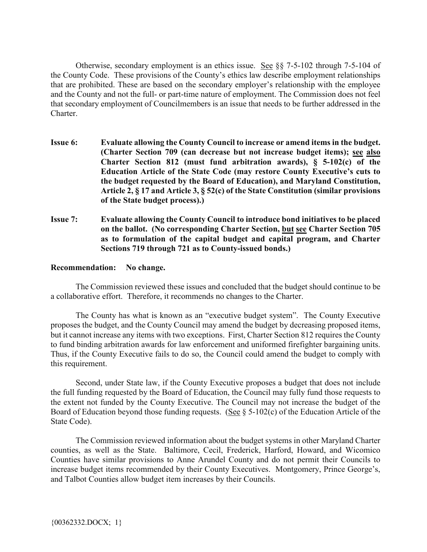Otherwise, secondary employment is an ethics issue. See §§ 7-5-102 through 7-5-104 of the County Code. These provisions of the County's ethics law describe employment relationships that are prohibited. These are based on the secondary employer's relationship with the employee and the County and not the full- or part-time nature of employment. The Commission does not feel that secondary employment of Councilmembers is an issue that needs to be further addressed in the Charter.

- **Issue 6: Evaluate allowing the County Council to increase or amend items in the budget. (Charter Section 709 (can decrease but not increase budget items); see also Charter Section 812 (must fund arbitration awards), § 5-102(c) of the Education Article of the State Code (may restore County Executive's cuts to the budget requested by the Board of Education), and Maryland Constitution, Article 2, § 17 and Article 3, § 52(c) of the State Constitution (similar provisions of the State budget process).)**
- **Issue 7: Evaluate allowing the County Council to introduce bond initiatives to be placed on the ballot. (No corresponding Charter Section, but see Charter Section 705 as to formulation of the capital budget and capital program, and Charter Sections 719 through 721 as to County-issued bonds.)**

## **Recommendation: No change.**

The Commission reviewed these issues and concluded that the budget should continue to be a collaborative effort. Therefore, it recommends no changes to the Charter.

The County has what is known as an "executive budget system". The County Executive proposes the budget, and the County Council may amend the budget by decreasing proposed items, but it cannot increase any items with two exceptions. First, Charter Section 812 requires the County to fund binding arbitration awards for law enforcement and uniformed firefighter bargaining units. Thus, if the County Executive fails to do so, the Council could amend the budget to comply with this requirement.

Second, under State law, if the County Executive proposes a budget that does not include the full funding requested by the Board of Education, the Council may fully fund those requests to the extent not funded by the County Executive. The Council may not increase the budget of the Board of Education beyond those funding requests. (See  $\S$  5-102(c) of the Education Article of the State Code).

The Commission reviewed information about the budget systems in other Maryland Charter counties, as well as the State. Baltimore, Cecil, Frederick, Harford, Howard, and Wicomico Counties have similar provisions to Anne Arundel County and do not permit their Councils to increase budget items recommended by their County Executives. Montgomery, Prince George's, and Talbot Counties allow budget item increases by their Councils.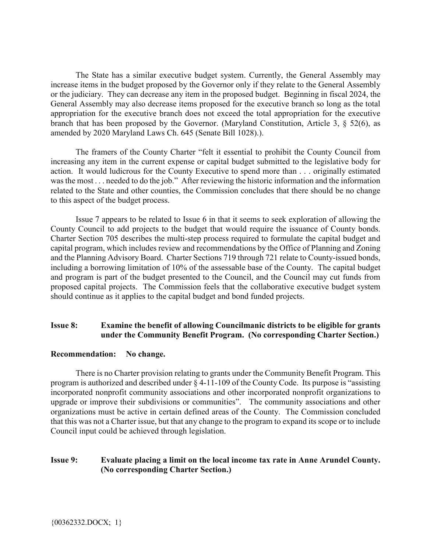The State has a similar executive budget system. Currently, the General Assembly may increase items in the budget proposed by the Governor only if they relate to the General Assembly or the judiciary. They can decrease any item in the proposed budget. Beginning in fiscal 2024, the General Assembly may also decrease items proposed for the executive branch so long as the total appropriation for the executive branch does not exceed the total appropriation for the executive branch that has been proposed by the Governor. (Maryland Constitution, Article 3, § 52(6), as amended by 2020 Maryland Laws Ch. 645 (Senate Bill 1028).).

The framers of the County Charter "felt it essential to prohibit the County Council from increasing any item in the current expense or capital budget submitted to the legislative body for action. It would ludicrous for the County Executive to spend more than . . . originally estimated was the most . . . needed to do the job." After reviewing the historic information and the information related to the State and other counties, the Commission concludes that there should be no change to this aspect of the budget process.

Issue 7 appears to be related to Issue 6 in that it seems to seek exploration of allowing the County Council to add projects to the budget that would require the issuance of County bonds. Charter Section 705 describes the multi-step process required to formulate the capital budget and capital program, which includes review and recommendations by the Office of Planning and Zoning and the Planning Advisory Board. Charter Sections 719 through 721 relate to County-issued bonds, including a borrowing limitation of 10% of the assessable base of the County. The capital budget and program is part of the budget presented to the Council, and the Council may cut funds from proposed capital projects. The Commission feels that the collaborative executive budget system should continue as it applies to the capital budget and bond funded projects.

## **Issue 8: Examine the benefit of allowing Councilmanic districts to be eligible for grants under the Community Benefit Program. (No corresponding Charter Section.)**

### **Recommendation: No change.**

There is no Charter provision relating to grants under the Community Benefit Program. This program is authorized and described under § 4-11-109 of the County Code. Its purpose is "assisting incorporated nonprofit community associations and other incorporated nonprofit organizations to upgrade or improve their subdivisions or communities". The community associations and other organizations must be active in certain defined areas of the County. The Commission concluded that this was not a Charter issue, but that any change to the program to expand its scope or to include Council input could be achieved through legislation.

## **Issue 9: Evaluate placing a limit on the local income tax rate in Anne Arundel County. (No corresponding Charter Section.)**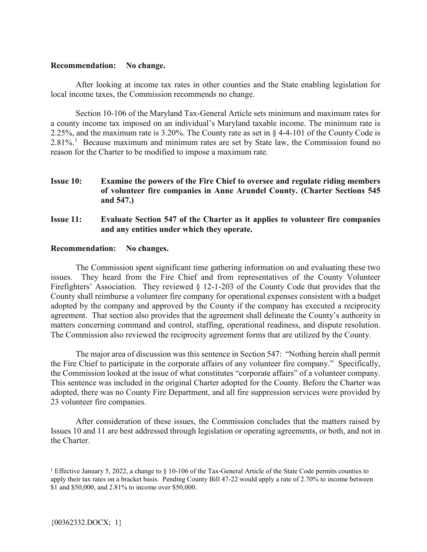### **Recommendation: No change.**

After looking at income tax rates in other counties and the State enabling legislation for local income taxes, the Commission recommends no change.

Section 10-106 of the Maryland Tax-General Article sets minimum and maximum rates for a county income tax imposed on an individual's Maryland taxable income. The minimum rate is 2.25%, and the maximum rate is 3.20%. The County rate as set in § 4-4-101 of the County Code is  $2.81\%$  $2.81\%$  $2.81\%$ .<sup>1</sup> Because maximum and minimum rates are set by State law, the Commission found no reason for the Charter to be modified to impose a maximum rate.

- **Issue 10: Examine the powers of the Fire Chief to oversee and regulate riding members of volunteer fire companies in Anne Arundel County. (Charter Sections 545 and 547.)**
- **Issue 11: Evaluate Section 547 of the Charter as it applies to volunteer fire companies and any entities under which they operate.**

### **Recommendation: No changes.**

The Commission spent significant time gathering information on and evaluating these two issues. They heard from the Fire Chief and from representatives of the County Volunteer Firefighters' Association. They reviewed § 12-1-203 of the County Code that provides that the County shall reimburse a volunteer fire company for operational expenses consistent with a budget adopted by the company and approved by the County if the company has executed a reciprocity agreement. That section also provides that the agreement shall delineate the County's authority in matters concerning command and control, staffing, operational readiness, and dispute resolution. The Commission also reviewed the reciprocity agreement forms that are utilized by the County.

The major area of discussion was this sentence in Section 547: "Nothing herein shall permit the Fire Chief to participate in the corporate affairs of any volunteer fire company." Specifically, the Commission looked at the issue of what constitutes "corporate affairs" of a volunteer company. This sentence was included in the original Charter adopted for the County. Before the Charter was adopted, there was no County Fire Department, and all fire suppression services were provided by 23 volunteer fire companies.

After consideration of these issues, the Commission concludes that the matters raised by Issues 10 and 11 are best addressed through legislation or operating agreements, or both, and not in the Charter.

<span id="page-6-0"></span><sup>&</sup>lt;sup>1</sup> Effective January 5, 2022, a change to § 10-106 of the Tax-General Article of the State Code permits counties to apply their tax rates on a bracket basis. Pending County Bill 47-22 would apply a rate of 2.70% to income between \$1 and \$50,000, and 2.81% to income over \$50,000.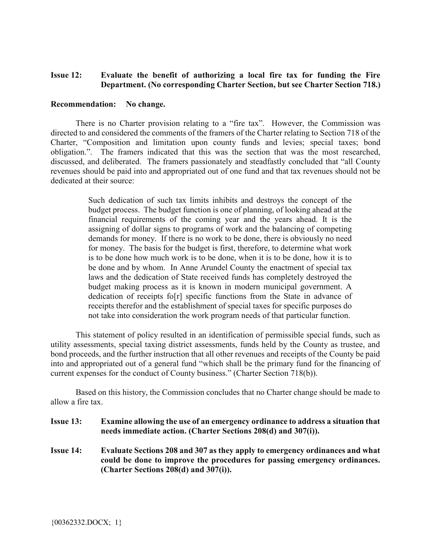## **Issue 12: Evaluate the benefit of authorizing a local fire tax for funding the Fire Department. (No corresponding Charter Section, but see Charter Section 718.)**

#### **Recommendation: No change.**

There is no Charter provision relating to a "fire tax". However, the Commission was directed to and considered the comments of the framers of the Charter relating to Section 718 of the Charter, "Composition and limitation upon county funds and levies; special taxes; bond obligation.". The framers indicated that this was the section that was the most researched, discussed, and deliberated. The framers passionately and steadfastly concluded that "all County revenues should be paid into and appropriated out of one fund and that tax revenues should not be dedicated at their source:

> Such dedication of such tax limits inhibits and destroys the concept of the budget process. The budget function is one of planning, of looking ahead at the financial requirements of the coming year and the years ahead. It is the assigning of dollar signs to programs of work and the balancing of competing demands for money. If there is no work to be done, there is obviously no need for money. The basis for the budget is first, therefore, to determine what work is to be done how much work is to be done, when it is to be done, how it is to be done and by whom. In Anne Arundel County the enactment of special tax laws and the dedication of State received funds has completely destroyed the budget making process as it is known in modern municipal government. A dedication of receipts fo[r] specific functions from the State in advance of receipts therefor and the establishment of special taxes for specific purposes do not take into consideration the work program needs of that particular function.

This statement of policy resulted in an identification of permissible special funds, such as utility assessments, special taxing district assessments, funds held by the County as trustee, and bond proceeds, and the further instruction that all other revenues and receipts of the County be paid into and appropriated out of a general fund "which shall be the primary fund for the financing of current expenses for the conduct of County business." (Charter Section 718(b)).

Based on this history, the Commission concludes that no Charter change should be made to allow a fire tax.

| <b>Issue 13:</b> | Examine allowing the use of an emergency ordinance to address a situation that |
|------------------|--------------------------------------------------------------------------------|
|                  | needs immediate action. (Charter Sections 208(d) and 307(i)).                  |

**Issue 14: Evaluate Sections 208 and 307 as they apply to emergency ordinances and what could be done to improve the procedures for passing emergency ordinances. (Charter Sections 208(d) and 307(i)).**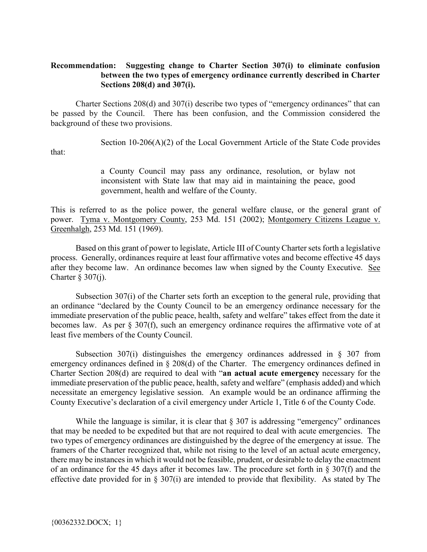## **Recommendation: Suggesting change to Charter Section 307(i) to eliminate confusion between the two types of emergency ordinance currently described in Charter Sections 208(d) and 307(i).**

Charter Sections 208(d) and 307(i) describe two types of "emergency ordinances" that can be passed by the Council. There has been confusion, and the Commission considered the background of these two provisions.

Section  $10-206(A)(2)$  of the Local Government Article of the State Code provides

that:

a County Council may pass any ordinance, resolution, or bylaw not inconsistent with State law that may aid in maintaining the peace, good government, health and welfare of the County.

This is referred to as the police power, the general welfare clause, or the general grant of power. Tyma v. Montgomery County, 253 Md. 151 (2002); Montgomery Citizens League v. Greenhalgh, 253 Md. 151 (1969).

Based on this grant of power to legislate, Article III of County Charter sets forth a legislative process. Generally, ordinances require at least four affirmative votes and become effective 45 days after they become law. An ordinance becomes law when signed by the County Executive. See Charter  $\S 307(j)$ .

Subsection 307(i) of the Charter sets forth an exception to the general rule, providing that an ordinance "declared by the County Council to be an emergency ordinance necessary for the immediate preservation of the public peace, health, safety and welfare" takes effect from the date it becomes law. As per § 307(f), such an emergency ordinance requires the affirmative vote of at least five members of the County Council.

Subsection 307(i) distinguishes the emergency ordinances addressed in § 307 from emergency ordinances defined in § 208(d) of the Charter. The emergency ordinances defined in Charter Section 208(d) are required to deal with "**an actual acute emergency** necessary for the immediate preservation of the public peace, health, safety and welfare" (emphasis added) and which necessitate an emergency legislative session. An example would be an ordinance affirming the County Executive's declaration of a civil emergency under Article 1, Title 6 of the County Code.

While the language is similar, it is clear that  $\S 307$  is addressing "emergency" ordinances that may be needed to be expedited but that are not required to deal with acute emergencies. The two types of emergency ordinances are distinguished by the degree of the emergency at issue. The framers of the Charter recognized that, while not rising to the level of an actual acute emergency, there may be instances in which it would not be feasible, prudent, or desirable to delay the enactment of an ordinance for the 45 days after it becomes law. The procedure set forth in § 307(f) and the effective date provided for in § 307(i) are intended to provide that flexibility. As stated by The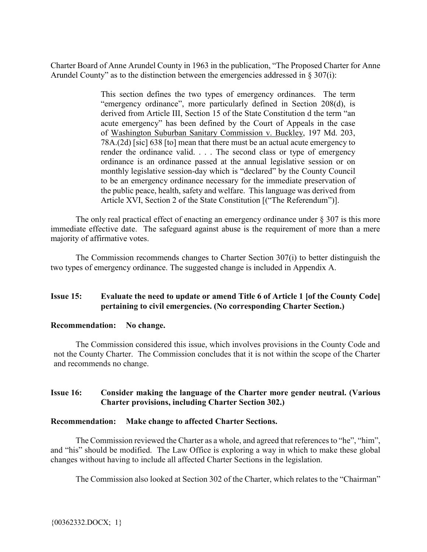Charter Board of Anne Arundel County in 1963 in the publication, "The Proposed Charter for Anne Arundel County" as to the distinction between the emergencies addressed in  $\S 307(i)$ :

> This section defines the two types of emergency ordinances. The term "emergency ordinance", more particularly defined in Section 208(d), is derived from Article III, Section 15 of the State Constitution d the term "an acute emergency" has been defined by the Court of Appeals in the case of Washington Suburban Sanitary Commission v. Buckley, 197 Md. 203, 78A.(2d) [sic] 638 [to] mean that there must be an actual acute emergency to render the ordinance valid. . . . The second class or type of emergency ordinance is an ordinance passed at the annual legislative session or on monthly legislative session-day which is "declared" by the County Council to be an emergency ordinance necessary for the immediate preservation of the public peace, health, safety and welfare. This language was derived from Article XVI, Section 2 of the State Constitution [("The Referendum")].

The only real practical effect of enacting an emergency ordinance under  $\S 307$  is this more immediate effective date. The safeguard against abuse is the requirement of more than a mere majority of affirmative votes.

The Commission recommends changes to Charter Section 307(i) to better distinguish the two types of emergency ordinance. The suggested change is included in Appendix A.

## **Issue 15: Evaluate the need to update or amend Title 6 of Article 1 [of the County Code] pertaining to civil emergencies. (No corresponding Charter Section.)**

## **Recommendation: No change.**

The Commission considered this issue, which involves provisions in the County Code and not the County Charter. The Commission concludes that it is not within the scope of the Charter and recommends no change.

## **Issue 16: Consider making the language of the Charter more gender neutral. (Various Charter provisions, including Charter Section 302.)**

## **Recommendation: Make change to affected Charter Sections.**

The Commission reviewed the Charter as a whole, and agreed that references to "he", "him", and "his" should be modified. The Law Office is exploring a way in which to make these global changes without having to include all affected Charter Sections in the legislation.

The Commission also looked at Section 302 of the Charter, which relates to the "Chairman"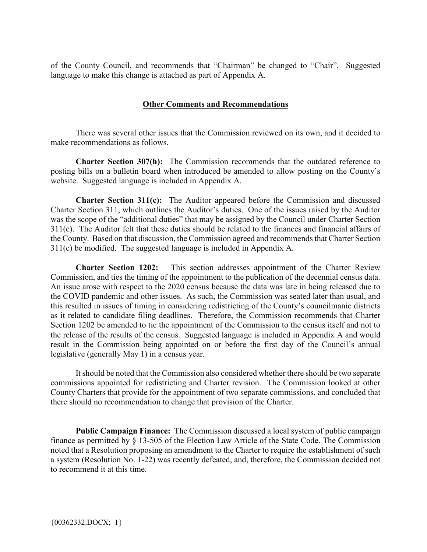of the County Council, and recommends that "Chairman" be changed to "Chair". Suggested language to make this change is attached as part of Appendix A.

### **Other Comments and Recommendations**

There was several other issues that the Commission reviewed on its own, and it decided to make recommendations as follows.

**Charter Section 307(h):** The Commission recommends that the outdated reference to posting bills on a bulletin board when introduced be amended to allow posting on the County's website. Suggested language is included in Appendix A.

**Charter Section 311(c):** The Auditor appeared before the Commission and discussed Charter Section 311, which outlines the Auditor's duties. One of the issues raised by the Auditor was the scope of the "additional duties" that may be assigned by the Council under Charter Section 311(c). The Auditor felt that these duties should be related to the finances and financial affairs of the County. Based on that discussion, the Commission agreed and recommends that Charter Section 311(c) be modified. The suggested language is included in Appendix A.

**Charter Section 1202:** This section addresses appointment of the Charter Review Commission, and ties the timing of the appointment to the publication of the decennial census data. An issue arose with respect to the 2020 census because the data was late in being released due to the COVID pandemic and other issues. As such, the Commission was seated later than usual, and this resulted in issues of timing in considering redistricting of the County's councilmanic districts as it related to candidate filing deadlines. Therefore, the Commission recommends that Charter Section 1202 be amended to tie the appointment of the Commission to the census itself and not to the release of the results of the census. Suggested language is included in Appendix A and would result in the Commission being appointed on or before the first day of the Council's annual legislative (generally May 1) in a census year.

It should be noted that the Commission also considered whether there should be two separate commissions appointed for redistricting and Charter revision. The Commission looked at other County Charters that provide for the appointment of two separate commissions, and concluded that there should no recommendation to change that provision of the Charter.

**Public Campaign Finance:** The Commission discussed a local system of public campaign finance as permitted by § 13-505 of the Election Law Article of the State Code. The Commission noted that a Resolution proposing an amendment to the Charter to require the establishment of such a system (Resolution No. 1-22) was recently defeated, and, therefore, the Commission decided not to recommend it at this time.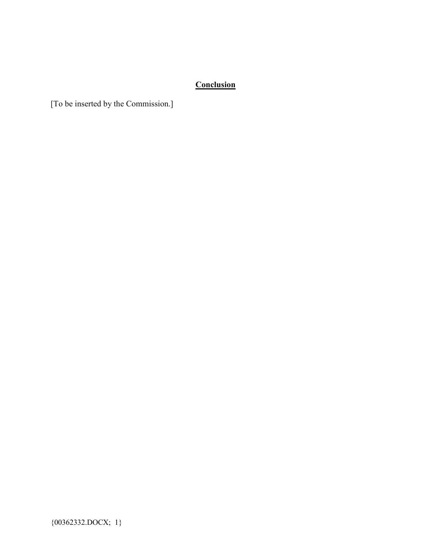# **Conclusion**

[To be inserted by the Commission.]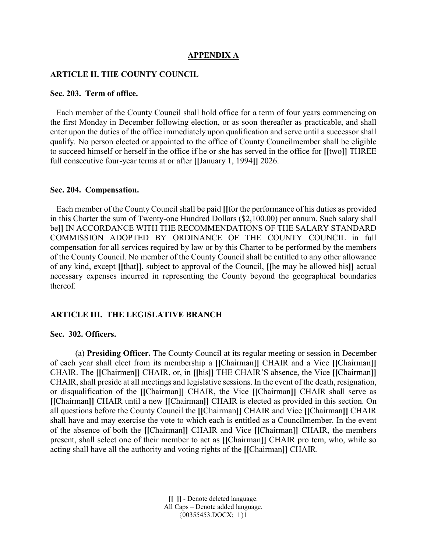#### **APPENDIX A**

### **ARTICLE II. THE COUNTY COUNCIL**

#### **Sec. 203. Term of office.**

 Each member of the County Council shall hold office for a term of four years commencing on the first Monday in December following election, or as soon thereafter as practicable, and shall enter upon the duties of the office immediately upon qualification and serve until a successor shall qualify. No person elected or appointed to the office of County Councilmember shall be eligible to succeed himself or herself in the office if he or she has served in the office for **[[**two**]]** THREE full consecutive four-year terms at or after **[[**January 1, 1994**]]** 2026.

#### **Sec. 204. Compensation.**

 Each member of the County Council shall be paid **[[**for the performance of his duties as provided in this Charter the sum of Twenty-one Hundred Dollars (\$2,100.00) per annum. Such salary shall be**]]** IN ACCORDANCE WITH THE RECOMMENDATIONS OF THE SALARY STANDARD COMMISSION ADOPTED BY ORDINANCE OF THE COUNTY COUNCIL in full compensation for all services required by law or by this Charter to be performed by the members of the County Council. No member of the County Council shall be entitled to any other allowance of any kind, except **[[**that**]]**, subject to approval of the Council, **[[**he may be allowed his**]]** actual necessary expenses incurred in representing the County beyond the geographical boundaries thereof.

#### **ARTICLE III. THE LEGISLATIVE BRANCH**

## **Sec. 302. Officers.**

(a) **Presiding Officer.** The County Council at its regular meeting or session in December of each year shall elect from its membership a **[[**Chairman**]]** CHAIR and a Vice **[[**Chairman**]]**  CHAIR. The **[[**Chairmen**]]** CHAIR, or, in **[[**his**]]** THE CHAIR'S absence, the Vice **[[**Chairman**]]**  CHAIR, shall preside at all meetings and legislative sessions. In the event of the death, resignation, or disqualification of the **[[**Chairman**]]** CHAIR, the Vice **[[**Chairman**]]** CHAIR shall serve as **[[**Chairman**]]** CHAIR until a new **[[**Chairman**]]** CHAIR is elected as provided in this section. On all questions before the County Council the **[[**Chairman**]]** CHAIR and Vice **[[**Chairman**]]** CHAIR shall have and may exercise the vote to which each is entitled as a Councilmember. In the event of the absence of both the **[[**Chairman**]]** CHAIR and Vice **[[**Chairman**]]** CHAIR, the members present, shall select one of their member to act as **[[**Chairman**]]** CHAIR pro tem, who, while so acting shall have all the authority and voting rights of the **[[**Chairman**]]** CHAIR.

> **[[ ]]** - Denote deleted language. All Caps – Denote added language. {00355453.DOCX; 1}1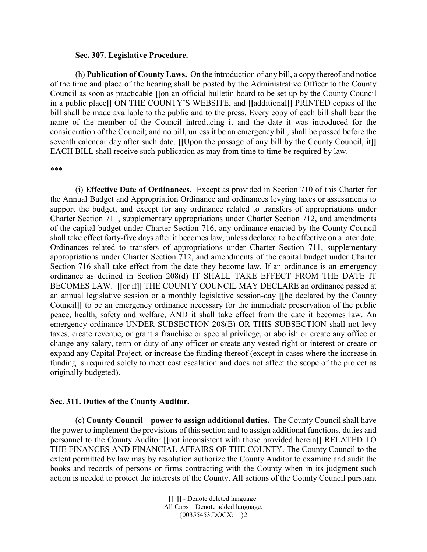#### **Sec. 307. Legislative Procedure.**

(h) **Publication of County Laws.** On the introduction of any bill, a copy thereof and notice of the time and place of the hearing shall be posted by the Administrative Officer to the County Council as soon as practicable **[[**on an official bulletin board to be set up by the County Council in a public place**]]** ON THE COUNTY'S WEBSITE, and **[[**additional**]]** PRINTED copies of the bill shall be made available to the public and to the press. Every copy of each bill shall bear the name of the member of the Council introducing it and the date it was introduced for the consideration of the Council; and no bill, unless it be an emergency bill, shall be passed before the seventh calendar day after such date. **[[**Upon the passage of any bill by the County Council, it**]]** EACH BILL shall receive such publication as may from time to time be required by law.

\*\*\*

(i) **Effective Date of Ordinances.** Except as provided in Section 710 of this Charter for the Annual Budget and Appropriation Ordinance and ordinances levying taxes or assessments to support the budget, and except for any ordinance related to transfers of appropriations under Charter Section 711, supplementary appropriations under Charter Section 712, and amendments of the capital budget under Charter Section 716, any ordinance enacted by the County Council shall take effect forty-five days after it becomes law, unless declared to be effective on a later date. Ordinances related to transfers of appropriations under Charter Section 711, supplementary appropriations under Charter Section 712, and amendments of the capital budget under Charter Section 716 shall take effect from the date they become law. If an ordinance is an emergency ordinance as defined in Section 208(d) IT SHALL TAKE EFFECT FROM THE DATE IT BECOMES LAW. **[[**or if**]]** THE COUNTY COUNCIL MAY DECLARE an ordinance passed at an annual legislative session or a monthly legislative session-day **[[**be declared by the County Council**]]** to be an emergency ordinance necessary for the immediate preservation of the public peace, health, safety and welfare, AND it shall take effect from the date it becomes law. An emergency ordinance UNDER SUBSECTION 208(E) OR THIS SUBSECTION shall not levy taxes, create revenue, or grant a franchise or special privilege, or abolish or create any office or change any salary, term or duty of any officer or create any vested right or interest or create or expand any Capital Project, or increase the funding thereof (except in cases where the increase in funding is required solely to meet cost escalation and does not affect the scope of the project as originally budgeted).

#### **Sec. 311. Duties of the County Auditor.**

(c) **County Council – power to assign additional duties.** The County Council shall have the power to implement the provisions of this section and to assign additional functions, duties and personnel to the County Auditor **[[**not inconsistent with those provided herein**]]** RELATED TO THE FINANCES AND FINANCIAL AFFAIRS OF THE COUNTY. The County Council to the extent permitted by law may by resolution authorize the County Auditor to examine and audit the books and records of persons or firms contracting with the County when in its judgment such action is needed to protect the interests of the County. All actions of the County Council pursuant

> **[[ ]]** - Denote deleted language. All Caps – Denote added language. {00355453.DOCX; 1}2